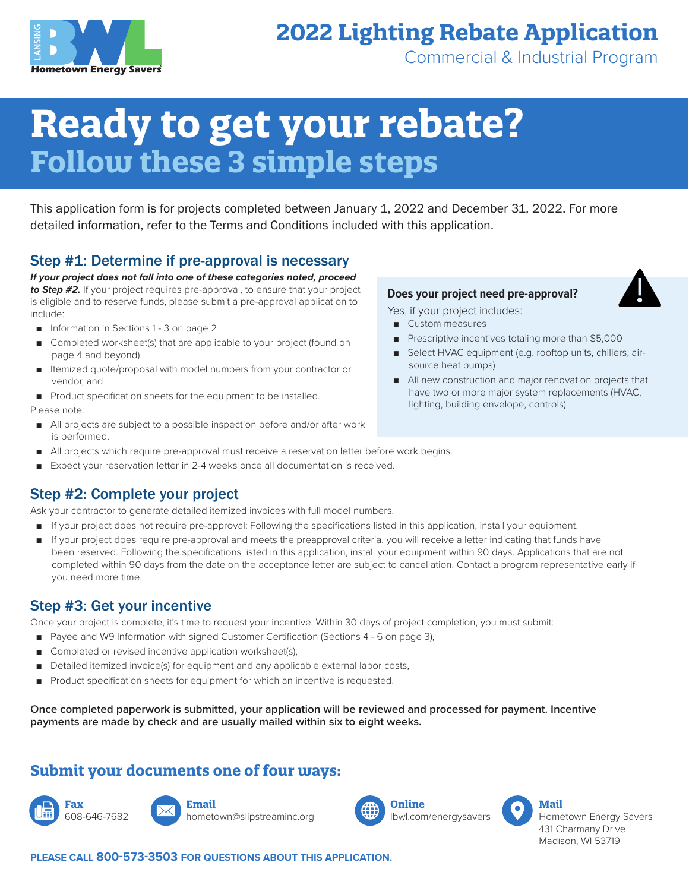

## **2022 Lighting Rebate Application**

Commercial & Industrial Program

# **Ready to get your rebate? Follow these 3 simple steps**

This application form is for projects completed between January 1, 2022 and December 31, 2022. For more detailed information, refer to the Terms and Conditions included with this application.

#### Step #1: Determine if pre-approval is necessary

*If your project does not fall into one of these categories noted, proceed to Step #2.* If your project requires pre-approval, to ensure that your project is eligible and to reserve funds, please submit a pre-approval application to include:

- Information in Sections 1 3 on page 2
- Completed worksheet(s) that are applicable to your project (found on page 4 and beyond),
- Itemized quote/proposal with model numbers from your contractor or vendor, and
- Product specification sheets for the equipment to be installed. Please note:
- All projects are subject to a possible inspection before and/or after work is performed.
- All projects which require pre-approval must receive a reservation letter before work begins.
- Expect your reservation letter in 2-4 weeks once all documentation is received.

### Step #2: Complete your project

Ask your contractor to generate detailed itemized invoices with full model numbers.

- If your project does not require pre-approval: Following the specifications listed in this application, install your equipment.
- If your project does require pre-approval and meets the preapproval criteria, you will receive a letter indicating that funds have been reserved. Following the specifications listed in this application, install your equipment within 90 days. Applications that are not completed within 90 days from the date on the acceptance letter are subject to cancellation. Contact a program representative early if you need more time.

#### Step #3: Get your incentive

Once your project is complete, it's time to request your incentive. Within 30 days of project completion, you must submit:

- Payee and W9 Information with signed Customer Certification (Sections 4 6 on page 3),
- Completed or revised incentive application worksheet(s),
- Detailed itemized invoice(s) for equipment and any applicable external labor costs,
- Product specification sheets for equipment for which an incentive is requested.

**Once completed paperwork is submitted, your application will be reviewed and processed for payment. Incentive payments are made by check and are usually mailed within six to eight weeks.**

#### **Submit your documents one of four ways:**





hometown@slipstreaminc.org



lbwl.com/energysavers



Hometown Energy Savers 431 Charmany Drive Madison, WI 53719

**PLEASE CALL 800-573-3503 FOR QUESTIONS ABOUT THIS APPLICATION.**

#### **Does your project need pre-approval?**

Yes, if your project includes:

- Custom measures
- Prescriptive incentives totaling more than \$5,000
- Select HVAC equipment (e.g. rooftop units, chillers, airsource heat pumps)
- All new construction and major renovation projects that have two or more major system replacements (HVAC, lighting, building envelope, controls)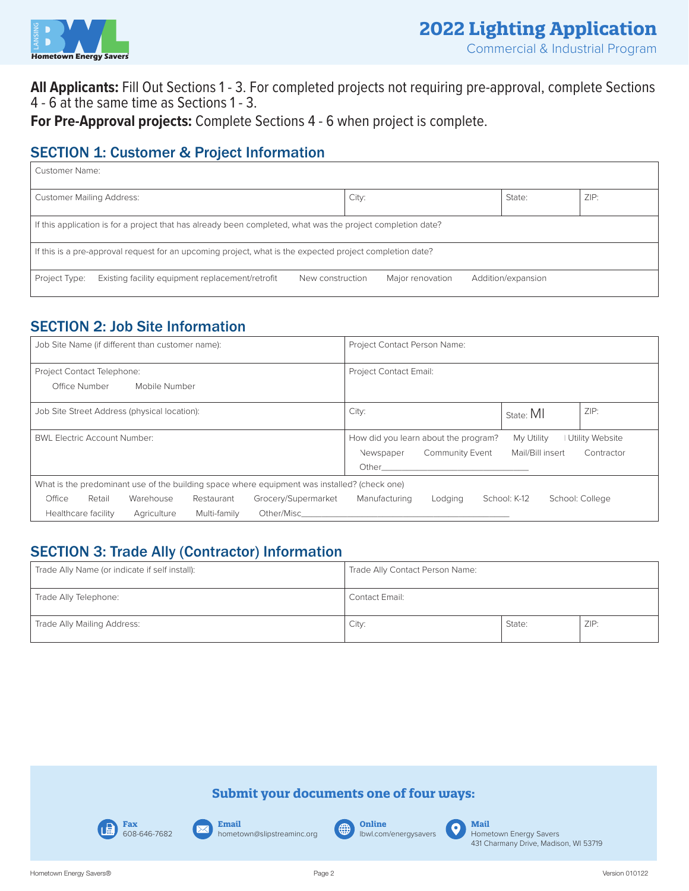

**All Applicants:** Fill Out Sections 1 - 3. For completed projects not requiring pre-approval, complete Sections 4 - 6 at the same time as Sections 1 - 3.

**For Pre-Approval projects:** Complete Sections 4 - 6 when project is complete.

#### **SECTION 1: Customer & Project Information**

| Customer Name:                                                                                              |                                        |  |  |  |
|-------------------------------------------------------------------------------------------------------------|----------------------------------------|--|--|--|
| <b>Customer Mailing Address:</b>                                                                            | ZIP:<br>City:<br>State:                |  |  |  |
| If this application is for a project that has already been completed, what was the project completion date? |                                        |  |  |  |
| If this is a pre-approval request for an upcoming project, what is the expected project completion date?    |                                        |  |  |  |
| Existing facility equipment replacement/retrofit<br>Project Type:<br>New construction                       | Major renovation<br>Addition/expansion |  |  |  |

### SECTION 2: Job Site Information

| Job Site Name (if different than customer name):                                             | Project Contact Person Name:                                                                                                                                                                                                   |
|----------------------------------------------------------------------------------------------|--------------------------------------------------------------------------------------------------------------------------------------------------------------------------------------------------------------------------------|
| Project Contact Telephone:                                                                   | <b>Project Contact Email:</b>                                                                                                                                                                                                  |
| Office Number<br>Mobile Number                                                               |                                                                                                                                                                                                                                |
| Job Site Street Address (physical location):                                                 | ZIP:<br>City:<br>State: MI                                                                                                                                                                                                     |
| <b>BWL Electric Account Number:</b>                                                          | How did you learn about the program?<br>My Utility<br><b>Utility Website</b>                                                                                                                                                   |
|                                                                                              | Mail/Bill insert<br><b>Community Event</b><br>Contractor<br>Newspaper                                                                                                                                                          |
|                                                                                              | Other                                                                                                                                                                                                                          |
| What is the predominant use of the building space where equipment was installed? (check one) |                                                                                                                                                                                                                                |
| Office<br>Grocery/Supermarket<br>Retail<br>Warehouse<br>Restaurant                           | School: K-12<br>Manufacturing<br>School: College<br>Lodging                                                                                                                                                                    |
| <b>Healthcare facility</b><br>Multi-family<br>Agriculture                                    | Other/Mischender and the contract of the contract of the contract of the contract of the contract of the contract of the contract of the contract of the contract of the contract of the contract of the contract of the contr |

### SECTION 3: Trade Ally (Contractor) Information

| Trade Ally Name (or indicate if self install): | Trade Ally Contact Person Name: |        |      |
|------------------------------------------------|---------------------------------|--------|------|
| Trade Ally Telephone:                          | Contact Email:                  |        |      |
| Trade Ally Mailing Address:                    | City:                           | State: | ZIP: |

#### **Submit your documents one of four ways:**



**Email** hometown@slipstreaminc.org

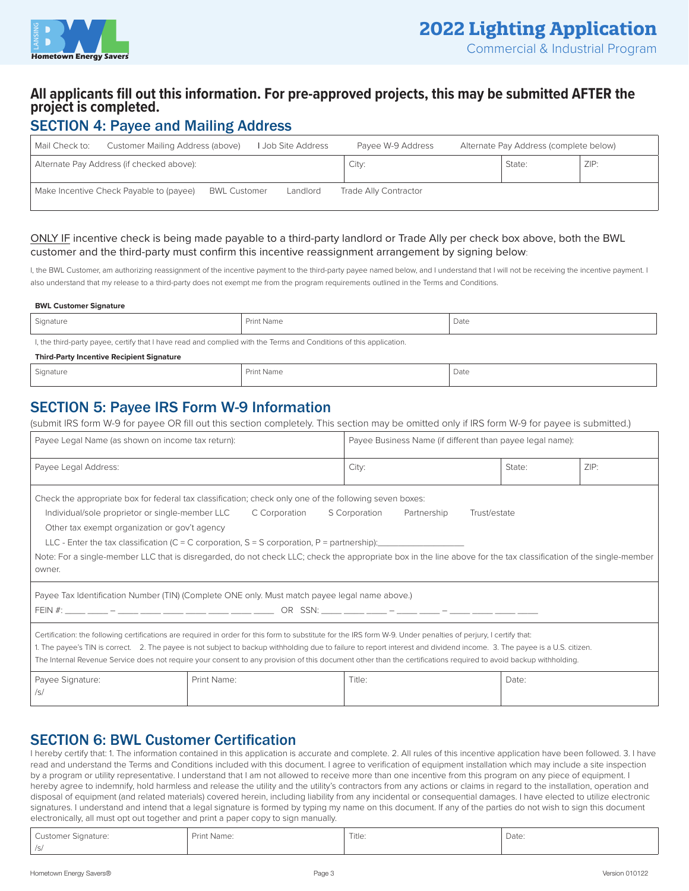

#### **All applicants fill out this information. For pre-approved projects, this may be submitted AFTER the project is completed.**

#### SECTION 4: Payee and Mailing Address

| Mail Check to: | Customer Mailing Address (above)          |                     | I Job Site Address | Payee W-9 Address     | Alternate Pay Address (complete below) |      |
|----------------|-------------------------------------------|---------------------|--------------------|-----------------------|----------------------------------------|------|
|                | Alternate Pay Address (if checked above): |                     |                    | City:                 | State:                                 | ZIP: |
|                | Make Incentive Check Payable to (payee)   | <b>BWL Customer</b> | Landlord           | Trade Ally Contractor |                                        |      |

#### ONLY IF incentive check is being made payable to a third-party landlord or Trade Ally per check box above, both the BWL customer and the third-party must confirm this incentive reassignment arrangement by signing below:

I, the BWL Customer, am authorizing reassignment of the incentive payment to the third-party payee named below, and I understand that I will not be receiving the incentive payment. I also understand that my release to a third-party does not exempt me from the program requirements outlined in the Terms and Conditions.

#### **BWL Customer Signature**

| Signature                                                                                                          | Print Name | Date |  |  |  |
|--------------------------------------------------------------------------------------------------------------------|------------|------|--|--|--|
| I, the third-party payee, certify that I have read and complied with the Terms and Conditions of this application. |            |      |  |  |  |
| <b>Third-Party Incentive Recipient Signature</b>                                                                   |            |      |  |  |  |
| Signature                                                                                                          | Print Name | Date |  |  |  |

#### SECTION 5: Payee IRS Form W-9 Information

(submit IRS form W-9 for payee OR fill out this section completely. This section may be omitted only if IRS form W-9 for payee is submitted.)

| Payee Legal Name (as shown on income tax return):                                                                                                                                                                                                                                                                                                                                                                                                                                                                                                        |                                                                                               | Payee Business Name (if different than payee legal name): |        |      |
|----------------------------------------------------------------------------------------------------------------------------------------------------------------------------------------------------------------------------------------------------------------------------------------------------------------------------------------------------------------------------------------------------------------------------------------------------------------------------------------------------------------------------------------------------------|-----------------------------------------------------------------------------------------------|-----------------------------------------------------------|--------|------|
| Payee Legal Address:                                                                                                                                                                                                                                                                                                                                                                                                                                                                                                                                     |                                                                                               | City:                                                     | State: | ZIP: |
| Check the appropriate box for federal tax classification; check only one of the following seven boxes:<br>Individual/sole proprietor or single-member LLC<br>C Corporation<br>S Corporation<br>Partnership<br>Trust/estate<br>Other tax exempt organization or gov't agency<br>LLC - Enter the tax classification (C = C corporation, S = S corporation, P = partnership):<br>Note: For a single-member LLC that is disregarded, do not check LLC; check the appropriate box in the line above for the tax classification of the single-member<br>owner. |                                                                                               |                                                           |        |      |
|                                                                                                                                                                                                                                                                                                                                                                                                                                                                                                                                                          | Payee Tax Identification Number (TIN) (Complete ONE only. Must match payee legal name above.) |                                                           |        |      |
| Certification: the following certifications are required in order for this form to substitute for the IRS form W-9. Under penalties of perjury, I certify that:<br>1. The payee's TIN is correct. 2. The payee is not subject to backup withholding due to failure to report interest and dividend income. 3. The payee is a U.S. citizen.<br>The Internal Revenue Service does not require your consent to any provision of this document other than the certifications required to avoid backup withholding.                                           |                                                                                               |                                                           |        |      |
| Payee Signature:<br>/s/                                                                                                                                                                                                                                                                                                                                                                                                                                                                                                                                  | Print Name:                                                                                   | Title:                                                    | Date:  |      |

#### SECTION 6: BWL Customer Certification

I hereby certify that: 1. The information contained in this application is accurate and complete. 2. All rules of this incentive application have been followed. 3. I have read and understand the Terms and Conditions included with this document. I agree to verification of equipment installation which may include a site inspection by a program or utility representative. I understand that I am not allowed to receive more than one incentive from this program on any piece of equipment. I hereby agree to indemnify, hold harmless and release the utility and the utility's contractors from any actions or claims in regard to the installation, operation and disposal of equipment (and related materials) covered herein, including liability from any incidental or consequential damages. I have elected to utilize electronic signatures. I understand and intend that a legal signature is formed by typing my name on this document. If any of the parties do not wish to sign this document electronically, all must opt out together and print a paper copy to sign manually.

| Customer Signature: | Print Name: | Title:<br>. | Date: |
|---------------------|-------------|-------------|-------|
| /S/                 |             |             |       |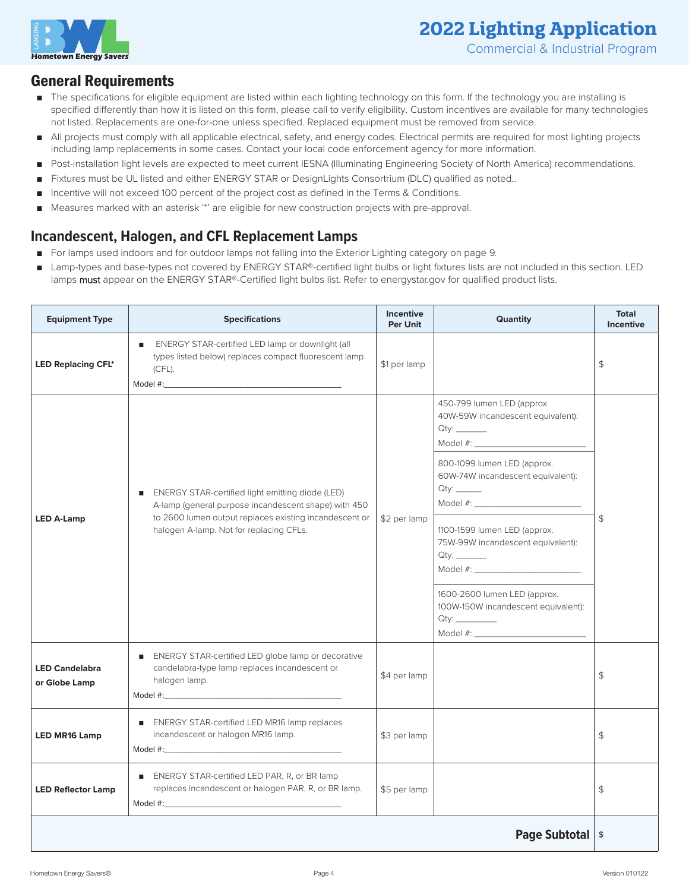

#### General Requirements

- The specifications for eligible equipment are listed within each lighting technology on this form. If the technology you are installing is specified differently than how it is listed on this form, please call to verify eligibility. Custom incentives are available for many technologies not listed. Replacements are one-for-one unless specified. Replaced equipment must be removed from service.
- All projects must comply with all applicable electrical, safety, and energy codes. Electrical permits are required for most lighting projects including lamp replacements in some cases. Contact your local code enforcement agency for more information.
- Post-installation light levels are expected to meet current IESNA (Illuminating Engineering Society of North America) recommendations.
- Fixtures must be UL listed and either ENERGY STAR or DesignLights Consortrium (DLC) qualified as noted..
- Incentive will not exceed 100 percent of the project cost as defined in the Terms & Conditions.
- Measures marked with an asterisk "\*\* are eligible for new construction projects with pre-approval.

#### **Incandescent, Halogen, and CFL Replacement Lamps**

- For lamps used indoors and for outdoor lamps not falling into the Exterior Lighting category on page 9.
- Lamp-types and base-types not covered by ENERGY STAR®-certified light bulbs or light fixtures lists are not included in this section. LED lamps must appear on the ENERGY STAR®-Certified light bulbs list. Refer to energystar.gov for qualified product lists.

| <b>Equipment Type</b>                  | <b>Specifications</b>                                                                                                                                                                                           | <b>Incentive</b><br><b>Per Unit</b> | Quantity                                                                                                                                                                                                                                                                                                                                                                                                                                                                                                          | <b>Total</b><br><b>Incentive</b> |
|----------------------------------------|-----------------------------------------------------------------------------------------------------------------------------------------------------------------------------------------------------------------|-------------------------------------|-------------------------------------------------------------------------------------------------------------------------------------------------------------------------------------------------------------------------------------------------------------------------------------------------------------------------------------------------------------------------------------------------------------------------------------------------------------------------------------------------------------------|----------------------------------|
| <b>LED Replacing CFL*</b>              | ■ ENERGY STAR-certified LED lamp or downlight (all<br>types listed below) replaces compact fluorescent lamp<br>$(CFL)$ .                                                                                        | \$1 per lamp                        |                                                                                                                                                                                                                                                                                                                                                                                                                                                                                                                   | \$                               |
| <b>LED A-Lamp</b>                      | ■ ENERGY STAR-certified light emitting diode (LED)<br>A-lamp (general purpose incandescent shape) with 450<br>to 2600 lumen output replaces existing incandescent or<br>halogen A-lamp. Not for replacing CFLs. | \$2 per lamp                        | 450-799 lumen LED (approx.<br>40W-59W incandescent equivalent):<br>800-1099 lumen LED (approx.<br>60W-74W incandescent equivalent):<br>1100-1599 lumen LED (approx.<br>75W-99W incandescent equivalent):<br>Model #: New York Products and Allen and Allen and Allen and Allen and Allen and Allen and Allen and Allen and Allen and Allen and Allen and Allen and Allen and Allen and Allen and Allen and Allen and Allen and Allen and A<br>1600-2600 lumen LED (approx.<br>100W-150W incandescent equivalent): | \$                               |
| <b>LED Candelabra</b><br>or Globe Lamp | ENERGY STAR-certified LED globe lamp or decorative<br>candelabra-type lamp replaces incandescent or<br>halogen lamp.                                                                                            | \$4 per lamp                        |                                                                                                                                                                                                                                                                                                                                                                                                                                                                                                                   | \$                               |
| <b>LED MR16 Lamp</b>                   | ■ ENERGY STAR-certified LED MR16 lamp replaces<br>incandescent or halogen MR16 lamp.<br>Model #:                                                                                                                | \$3 per lamp                        |                                                                                                                                                                                                                                                                                                                                                                                                                                                                                                                   | \$                               |
| <b>LED Reflector Lamp</b>              | ENERGY STAR-certified LED PAR, R, or BR lamp<br>replaces incandescent or halogen PAR, R, or BR lamp.                                                                                                            | \$5 per lamp                        |                                                                                                                                                                                                                                                                                                                                                                                                                                                                                                                   | \$                               |
|                                        |                                                                                                                                                                                                                 |                                     | <b>Page Subtotal   \$</b>                                                                                                                                                                                                                                                                                                                                                                                                                                                                                         |                                  |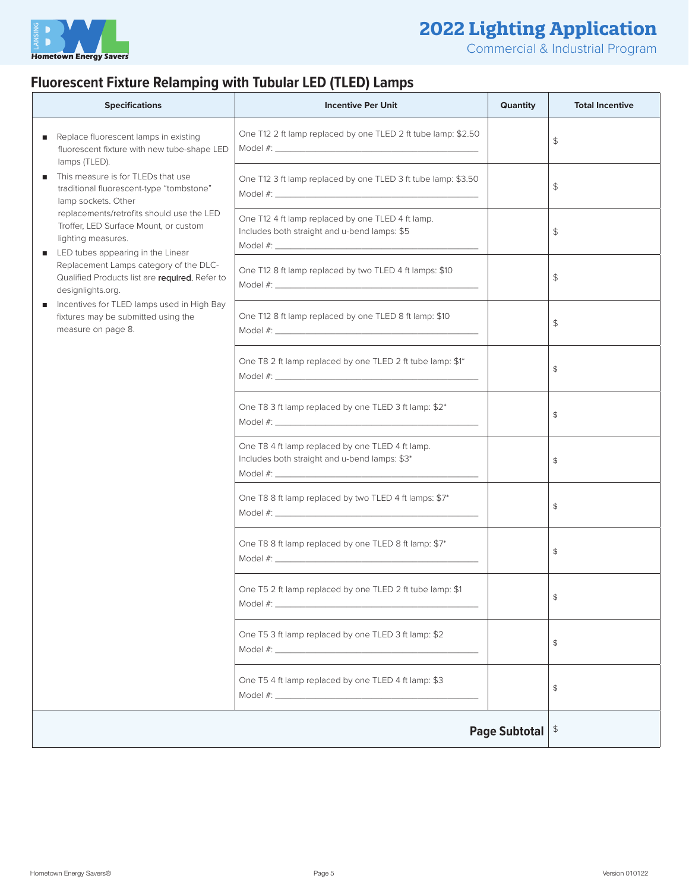

Commercial & Industrial Program

### **Fluorescent Fixture Relamping with Tubular LED (TLED) Lamps**

| <b>Specifications</b>                                                                                                                                                                                             | <b>Incentive Per Unit</b>                                                                         | <b>Quantity</b> | <b>Total Incentive</b>    |
|-------------------------------------------------------------------------------------------------------------------------------------------------------------------------------------------------------------------|---------------------------------------------------------------------------------------------------|-----------------|---------------------------|
| Replace fluorescent lamps in existing<br>٠<br>fluorescent fixture with new tube-shape LED<br>lamps (TLED).                                                                                                        | One T12 2 ft lamp replaced by one TLED 2 ft tube lamp: \$2.50                                     |                 | \$                        |
| This measure is for TLEDs that use<br>traditional fluorescent-type "tombstone"<br>lamp sockets. Other<br>replacements/retrofits should use the LED<br>Troffer, LED Surface Mount, or custom<br>lighting measures. | One T12 3 ft lamp replaced by one TLED 3 ft tube lamp: \$3.50                                     |                 | \$                        |
|                                                                                                                                                                                                                   | One T12 4 ft lamp replaced by one TLED 4 ft lamp.<br>Includes both straight and u-bend lamps: \$5 |                 | \$                        |
| LED tubes appearing in the Linear<br>٠<br>Replacement Lamps category of the DLC-<br>Qualified Products list are required. Refer to<br>designlights.org.                                                           | One T12 8 ft lamp replaced by two TLED 4 ft lamps: \$10                                           |                 | \$                        |
| Incentives for TLED lamps used in High Bay<br>fixtures may be submitted using the<br>measure on page 8.                                                                                                           | One T12 8 ft lamp replaced by one TLED 8 ft lamp: \$10                                            |                 | \$                        |
|                                                                                                                                                                                                                   | One T8 2 ft lamp replaced by one TLED 2 ft tube lamp: \$1*                                        |                 | \$                        |
|                                                                                                                                                                                                                   | One T8 3 ft lamp replaced by one TLED 3 ft lamp: \$2*                                             |                 | \$                        |
|                                                                                                                                                                                                                   | One T8 4 ft lamp replaced by one TLED 4 ft lamp.<br>Includes both straight and u-bend lamps: \$3* |                 | \$                        |
|                                                                                                                                                                                                                   | One T8 8 ft lamp replaced by two TLED 4 ft lamps: \$7*                                            |                 | \$                        |
|                                                                                                                                                                                                                   | One T8 8 ft lamp replaced by one TLED 8 ft lamp: \$7*                                             |                 | \$                        |
|                                                                                                                                                                                                                   | One T5 2 ft lamp replaced by one TLED 2 ft tube lamp: \$1                                         |                 | \$                        |
|                                                                                                                                                                                                                   | One T5 3 ft lamp replaced by one TLED 3 ft lamp: \$2                                              |                 | \$                        |
|                                                                                                                                                                                                                   | One T5 4 ft lamp replaced by one TLED 4 ft lamp: \$3                                              |                 | \$                        |
|                                                                                                                                                                                                                   |                                                                                                   | Page Subtotal   | $\boldsymbol{\hat{\tau}}$ |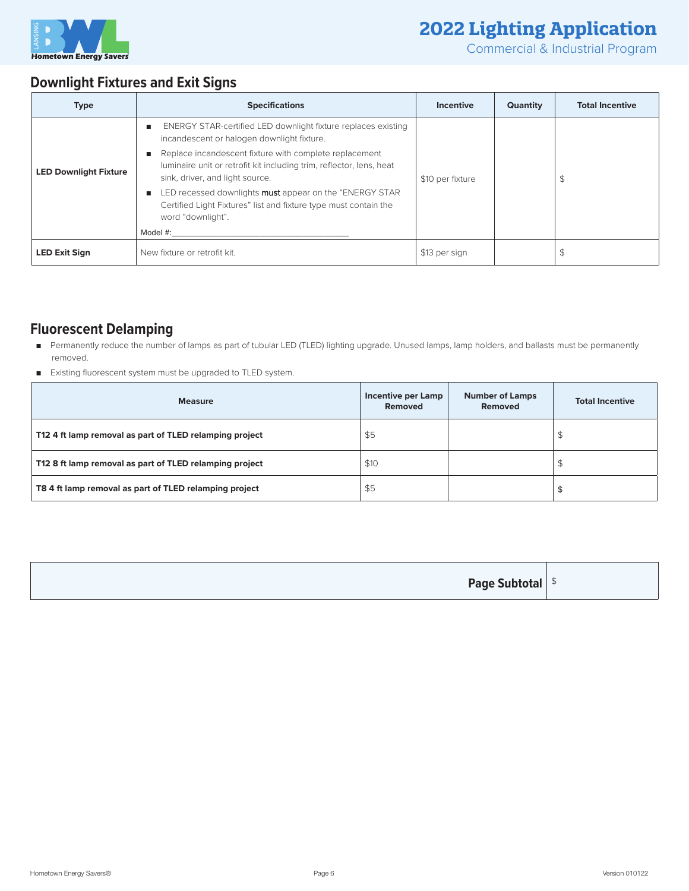

Commercial & Industrial Program

### **Downlight Fixtures and Exit Signs**

| <b>Type</b>                  | <b>Specifications</b>                                                                                                                                                                                                                                                                                                                                                                                                                                    | Incentive        | <b>Quantity</b> | <b>Total Incentive</b> |
|------------------------------|----------------------------------------------------------------------------------------------------------------------------------------------------------------------------------------------------------------------------------------------------------------------------------------------------------------------------------------------------------------------------------------------------------------------------------------------------------|------------------|-----------------|------------------------|
| <b>LED Downlight Fixture</b> | ENERGY STAR-certified LED downlight fixture replaces existing<br>incandescent or halogen downlight fixture.<br>Replace incandescent fixture with complete replacement<br>luminaire unit or retrofit kit including trim, reflector, lens, heat<br>sink, driver, and light source.<br>LED recessed downlights <b>must</b> appear on the "ENERGY STAR"<br>Certified Light Fixtures" list and fixture type must contain the<br>word "downlight".<br>Model #: | \$10 per fixture |                 | \$                     |
| <b>LED Exit Sign</b>         | New fixture or retrofit kit.                                                                                                                                                                                                                                                                                                                                                                                                                             | \$13 per sign    |                 | \$                     |

#### **Fluorescent Delamping**

- Permanently reduce the number of lamps as part of tubular LED (TLED) lighting upgrade. Unused lamps, lamp holders, and ballasts must be permanently removed.
- Existing fluorescent system must be upgraded to TLED system.

| <b>Measure</b>                                          | Incentive per Lamp<br><b>Removed</b> | <b>Number of Lamps</b><br>Removed | <b>Total Incentive</b> |
|---------------------------------------------------------|--------------------------------------|-----------------------------------|------------------------|
| T12 4 ft lamp removal as part of TLED relamping project | \$5                                  |                                   |                        |
| T12 8 ft lamp removal as part of TLED relamping project | \$10                                 |                                   |                        |
| T8 4 ft lamp removal as part of TLED relamping project  | \$5                                  |                                   |                        |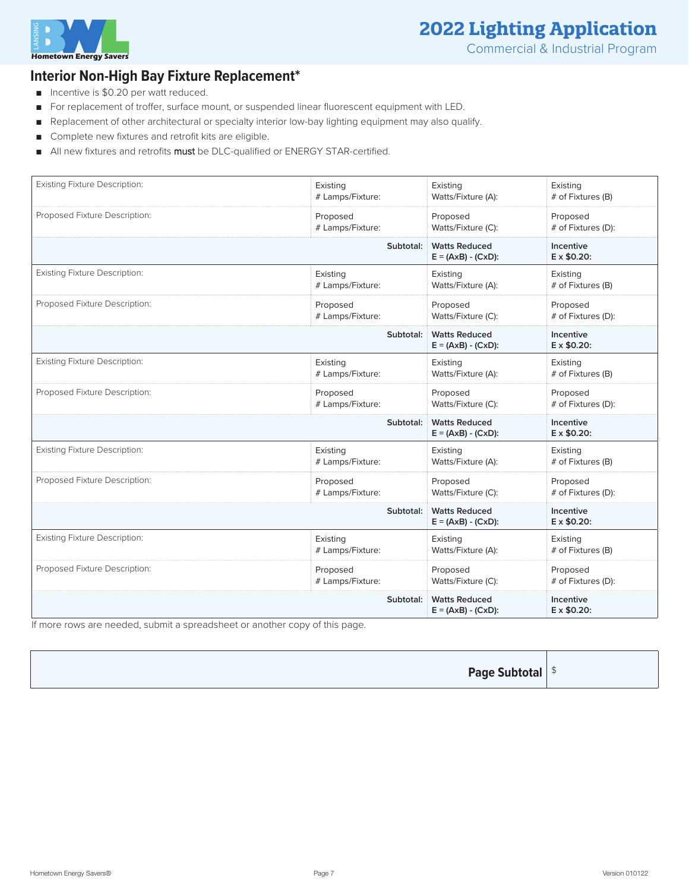

#### **Interior Non-High Bay Fixture Replacement\***

- Incentive is \$0.20 per watt reduced.
- For replacement of troffer, surface mount, or suspended linear fluorescent equipment with LED.
- Replacement of other architectural or specialty interior low-bay lighting equipment may also qualify.
- Complete new fixtures and retrofit kits are eligible.
- All new fixtures and retrofits must be DLC-qualified or ENERGY STAR-certified.

| <b>Existing Fixture Description:</b> | Existing         | Existing                                                    | Existing                        |
|--------------------------------------|------------------|-------------------------------------------------------------|---------------------------------|
|                                      | # Lamps/Fixture: | Watts/Fixture (A):                                          | # of Fixtures (B)               |
| Proposed Fixture Description:        | Proposed         | Proposed                                                    | Proposed                        |
|                                      | # Lamps/Fixture: | Watts/Fixture (C):                                          | # of Fixtures (D):              |
|                                      | Subtotal:        | <b>Watts Reduced</b><br>$E = (AxB) - (CxD)$ :               | Incentive<br>E x \$0.20:        |
| <b>Existing Fixture Description:</b> | Existing         | Existing                                                    | Existing                        |
|                                      | # Lamps/Fixture: | Watts/Fixture (A):                                          | # of Fixtures (B)               |
| Proposed Fixture Description:        | Proposed         | Proposed                                                    | Proposed                        |
|                                      | # Lamps/Fixture: | Watts/Fixture (C):                                          | # of Fixtures (D):              |
|                                      | Subtotal:        | <b>Watts Reduced</b><br>$E = (AxB) - (CxD)$ :               | Incentive<br>E x \$0.20:        |
| <b>Existing Fixture Description:</b> | Existing         | Existing                                                    | Existing                        |
|                                      | # Lamps/Fixture: | Watts/Fixture (A):                                          | # of Fixtures (B)               |
| Proposed Fixture Description:        | Proposed         | Proposed                                                    | Proposed                        |
|                                      | # Lamps/Fixture: | Watts/Fixture (C):                                          | # of Fixtures (D):              |
|                                      | Subtotal:        | <b>Watts Reduced</b><br>$E = (AxB) - (CxD)$ :               | Incentive<br>E x \$0.20:        |
| <b>Existing Fixture Description:</b> | Existing         | Existing                                                    | Existing                        |
|                                      | # Lamps/Fixture: | Watts/Fixture (A):                                          | # of Fixtures (B)               |
| Proposed Fixture Description:        | Proposed         | Proposed                                                    | Proposed                        |
|                                      | # Lamps/Fixture: | Watts/Fixture (C):                                          | # of Fixtures (D):              |
|                                      | Subtotal:        | <b>Watts Reduced</b><br>$E = (A \times B) - (C \times D)$ : | Incentive<br>E x \$0.20:        |
| <b>Existing Fixture Description:</b> | Existing         | Existing                                                    | Existing                        |
|                                      | # Lamps/Fixture: | Watts/Fixture (A):                                          | # of Fixtures (B)               |
| Proposed Fixture Description:        | Proposed         | Proposed                                                    | Proposed                        |
|                                      | # Lamps/Fixture: | Watts/Fixture (C):                                          | # of Fixtures (D):              |
|                                      | Subtotal:        | <b>Watts Reduced</b><br>$E = (AxB) - (CxD)$ :               | Incentive<br>$E \times $0.20$ : |

If more rows are needed, submit a spreadsheet or another copy of this page.

| <b>Page Subtotal</b> $\frac{1}{2}$ |  |
|------------------------------------|--|
|------------------------------------|--|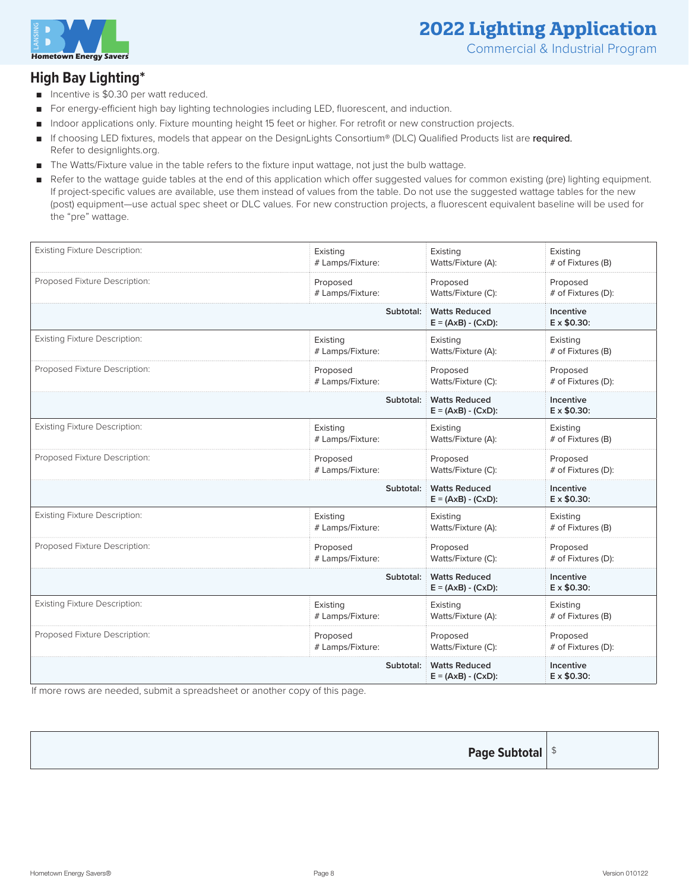

### **2022 Lighting Application** Commercial & Industrial Program

#### **High Bay Lighting\***

- Incentive is \$0.30 per watt reduced.
- For energy-efficient high bay lighting technologies including LED, fluorescent, and induction.
- Indoor applications only. Fixture mounting height 15 feet or higher. For retrofit or new construction projects.
- If choosing LED fixtures, models that appear on the DesignLights Consortium® (DLC) Qualified Products list are required. Refer to designlights.org.
- The Watts/Fixture value in the table refers to the fixture input wattage, not just the bulb wattage.
- Refer to the wattage guide tables at the end of this application which offer suggested values for common existing (pre) lighting equipment. If project-specific values are available, use them instead of values from the table. Do not use the suggested wattage tables for the new (post) equipment—use actual spec sheet or DLC values. For new construction projects, a fluorescent equivalent baseline will be used for the "pre" wattage.

| <b>Existing Fixture Description:</b> | Existing         | Existing                                      | Existing                        |
|--------------------------------------|------------------|-----------------------------------------------|---------------------------------|
|                                      | # Lamps/Fixture: | Watts/Fixture (A):                            | # of Fixtures (B)               |
| Proposed Fixture Description:        | Proposed         | Proposed                                      | Proposed                        |
|                                      | # Lamps/Fixture: | Watts/Fixture (C):                            | # of Fixtures (D):              |
|                                      | Subtotal:        | <b>Watts Reduced</b><br>$E = (AxB) - (CxD)$ : | Incentive<br>$E \times $0.30$ : |
| <b>Existing Fixture Description:</b> | Existing         | Existing                                      | Existing                        |
|                                      | # Lamps/Fixture: | Watts/Fixture (A):                            | # of Fixtures (B)               |
| Proposed Fixture Description:        | Proposed         | Proposed                                      | Proposed                        |
|                                      | # Lamps/Fixture: | Watts/Fixture (C):                            | # of Fixtures (D):              |
|                                      | Subtotal:        | <b>Watts Reduced</b><br>$E = (AxB) - (CxD)$ : | Incentive<br>$E \times $0.30$ : |
| <b>Existing Fixture Description:</b> | Existing         | Existing                                      | Existing                        |
|                                      | # Lamps/Fixture: | Watts/Fixture (A):                            | # of Fixtures (B)               |
| Proposed Fixture Description:        | Proposed         | Proposed                                      | Proposed                        |
|                                      | # Lamps/Fixture: | Watts/Fixture (C):                            | # of Fixtures (D):              |
|                                      | Subtotal:        | <b>Watts Reduced</b><br>$E = (AxB) - (CxD)$ : | Incentive<br>E x \$0.30:        |
| <b>Existing Fixture Description:</b> | Existing         | Existing                                      | Existing                        |
|                                      | # Lamps/Fixture: | Watts/Fixture (A):                            | # of Fixtures (B)               |
| Proposed Fixture Description:        | Proposed         | Proposed                                      | Proposed                        |
|                                      | # Lamps/Fixture: | Watts/Fixture (C):                            | # of Fixtures (D):              |
|                                      | Subtotal:        | <b>Watts Reduced</b><br>$E = (AxB) - (CxD)$ : | Incentive<br>$E \times $0.30$ : |
| <b>Existing Fixture Description:</b> | Existing         | Existing                                      | Existing                        |
|                                      | # Lamps/Fixture: | Watts/Fixture (A):                            | # of Fixtures (B)               |
| Proposed Fixture Description:        | Proposed         | Proposed                                      | Proposed                        |
|                                      | # Lamps/Fixture: | Watts/Fixture (C):                            | # of Fixtures (D):              |
|                                      | Subtotal:        | <b>Watts Reduced</b><br>$E = (AxB) - (CxD)$ : | Incentive<br>E x \$0.30:        |

If more rows are needed, submit a spreadsheet or another copy of this page.

**Page Subtotal** | \$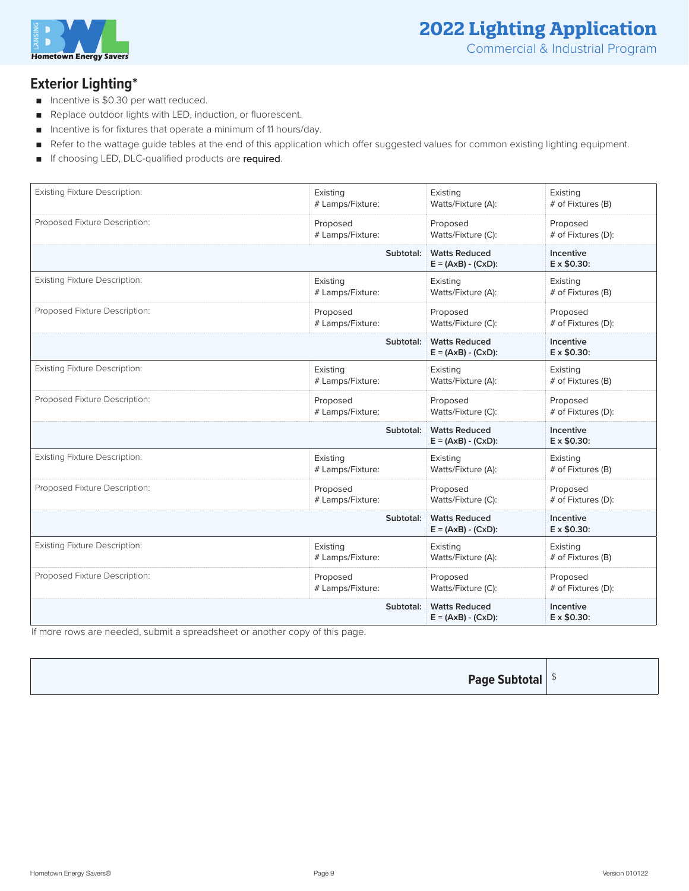

#### **Exterior Lighting\***

- Incentive is \$0.30 per watt reduced.
- Replace outdoor lights with LED, induction, or fluorescent.
- Incentive is for fixtures that operate a minimum of 11 hours/day.
- Refer to the wattage guide tables at the end of this application which offer suggested values for common existing lighting equipment.
- If choosing LED, DLC-qualified products are required.

| <b>Existing Fixture Description:</b> | Existing         | Existing                                                    | Existing                               |
|--------------------------------------|------------------|-------------------------------------------------------------|----------------------------------------|
|                                      | # Lamps/Fixture: | Watts/Fixture (A):                                          | # of Fixtures (B)                      |
| Proposed Fixture Description:        | Proposed         | Proposed                                                    | Proposed                               |
|                                      | # Lamps/Fixture: | Watts/Fixture (C):                                          | # of Fixtures (D):                     |
|                                      | Subtotal:        | <b>Watts Reduced</b><br>$E = (AxB) - (CxD)$ :               | Incentive<br>$E \times $0.30$ :        |
| <b>Existing Fixture Description:</b> | Existing         | Existing                                                    | Existing                               |
|                                      | # Lamps/Fixture: | Watts/Fixture (A):                                          | # of Fixtures (B)                      |
| Proposed Fixture Description:        | Proposed         | Proposed                                                    | Proposed                               |
|                                      | # Lamps/Fixture: | Watts/Fixture (C):                                          | # of Fixtures (D):                     |
|                                      | Subtotal:        | <b>Watts Reduced</b><br>$E = (A \times B) - (C \times D)$ : | Incentive<br>$E \times $0.30$ :        |
| <b>Existing Fixture Description:</b> | Existing         | Existing                                                    | Existing                               |
|                                      | # Lamps/Fixture: | Watts/Fixture (A):                                          | # of Fixtures (B)                      |
| Proposed Fixture Description:        | Proposed         | Proposed                                                    | Proposed                               |
|                                      | # Lamps/Fixture: | Watts/Fixture (C):                                          | # of Fixtures (D):                     |
|                                      | Subtotal:        | <b>Watts Reduced</b><br>$E = (A \times B) - (C \times D)$ : | <b>Incentive</b><br>$E \times $0.30$ : |
| <b>Existing Fixture Description:</b> | Existing         | Existing                                                    | Existing                               |
|                                      | # Lamps/Fixture: | Watts/Fixture (A):                                          | # of Fixtures (B)                      |
| Proposed Fixture Description:        | Proposed         | Proposed                                                    | Proposed                               |
|                                      | # Lamps/Fixture: | Watts/Fixture (C):                                          | # of Fixtures (D):                     |
|                                      | Subtotal:        | <b>Watts Reduced</b><br>$E = (AxB) - (CxD)$ :               | Incentive<br>$E \times $0.30$ :        |
| <b>Existing Fixture Description:</b> | Existing         | Existing                                                    | Existing                               |
|                                      | # Lamps/Fixture: | Watts/Fixture (A):                                          | # of Fixtures (B)                      |
| Proposed Fixture Description:        | Proposed         | Proposed                                                    | Proposed                               |
|                                      | # Lamps/Fixture: | Watts/Fixture (C):                                          | # of Fixtures (D):                     |
|                                      | Subtotal:        | <b>Watts Reduced</b><br>$E = (A \times B) - (C \times D)$ : | <b>Incentive</b><br>E x \$0.30:        |

If more rows are needed, submit a spreadsheet or another copy of this page.

| <b>Page Subtotal</b> $ $ <sup>\$</sup> |  |
|----------------------------------------|--|
|----------------------------------------|--|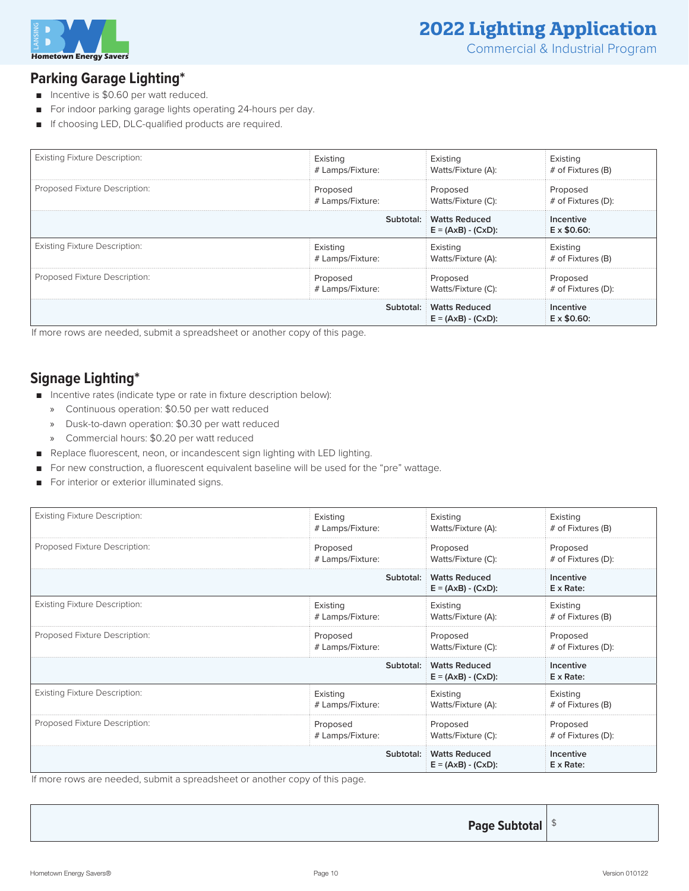

#### **Parking Garage Lighting\***

- Incentive is \$0.60 per watt reduced.
- For indoor parking garage lights operating 24-hours per day.
- If choosing LED, DLC-qualified products are required.

| <b>Existing Fixture Description:</b> | Existing         | Existing                                      | Existing                        |
|--------------------------------------|------------------|-----------------------------------------------|---------------------------------|
|                                      | # Lamps/Fixture: | Watts/Fixture (A):                            | # of Fixtures (B)               |
| Proposed Fixture Description:        | Proposed         | Proposed                                      | Proposed                        |
|                                      | # Lamps/Fixture: | Watts/Fixture (C):                            | # of Fixtures (D):              |
|                                      | Subtotal:        | <b>Watts Reduced</b><br>$E = (AxB) - (CxD)$ : | Incentive<br>$E \times $0.60$ : |
| <b>Existing Fixture Description:</b> | Existing         | Existing                                      | Existing                        |
|                                      | # Lamps/Fixture: | Watts/Fixture (A):                            | # of Fixtures (B)               |
| Proposed Fixture Description:        | Proposed         | Proposed                                      | Proposed                        |
|                                      | # Lamps/Fixture: | Watts/Fixture (C):                            | # of Fixtures (D):              |
|                                      | Subtotal:        | <b>Watts Reduced</b><br>$E = (AxB) - (CxD)$ : | Incentive<br>$E \times $0.60$ : |

If more rows are needed, submit a spreadsheet or another copy of this page.

#### **Signage Lighting\***

- Incentive rates (indicate type or rate in fixture description below):
	- » Continuous operation: \$0.50 per watt reduced
	- » Dusk-to-dawn operation: \$0.30 per watt reduced
	- » Commercial hours: \$0.20 per watt reduced
- Replace fluorescent, neon, or incandescent sign lighting with LED lighting.
- For new construction, a fluorescent equivalent baseline will be used for the "pre" wattage.
- For interior or exterior illuminated signs.

| <b>Existing Fixture Description:</b> | Existing         | Existing                                      | Existing                       |
|--------------------------------------|------------------|-----------------------------------------------|--------------------------------|
|                                      | # Lamps/Fixture: | Watts/Fixture (A):                            | # of Fixtures (B)              |
| Proposed Fixture Description:        | Proposed         | Proposed                                      | Proposed                       |
|                                      | # Lamps/Fixture: | Watts/Fixture (C):                            | # of Fixtures (D):             |
|                                      | Subtotal:        | <b>Watts Reduced</b><br>$E = (AxB) - (CxD)$ : | Incentive<br>$E \times Rate$ : |
| <b>Existing Fixture Description:</b> | Existing         | Existing                                      | Existing                       |
|                                      | # Lamps/Fixture: | Watts/Fixture (A):                            | # of Fixtures (B)              |
| Proposed Fixture Description:        | Proposed         | Proposed                                      | Proposed                       |
|                                      | # Lamps/Fixture: | Watts/Fixture (C):                            | # of Fixtures (D):             |
|                                      | Subtotal:        | <b>Watts Reduced</b><br>$E = (AxB) - (CxD)$ : | Incentive<br>$E \times Rate$ : |
| <b>Existing Fixture Description:</b> | Existing         | Existing                                      | Existing                       |
|                                      | # Lamps/Fixture: | Watts/Fixture (A):                            | # of Fixtures (B)              |
| Proposed Fixture Description:        | Proposed         | Proposed                                      | Proposed                       |
|                                      | # Lamps/Fixture: | Watts/Fixture (C):                            | # of Fixtures (D):             |
|                                      | Subtotal:        | <b>Watts Reduced</b><br>$E = (AxB) - (CxD)$ : | Incentive<br>$E \times Rate$ : |

If more rows are needed, submit a spreadsheet or another copy of this page.

**Page Subtotal**  $\frac{1}{3}$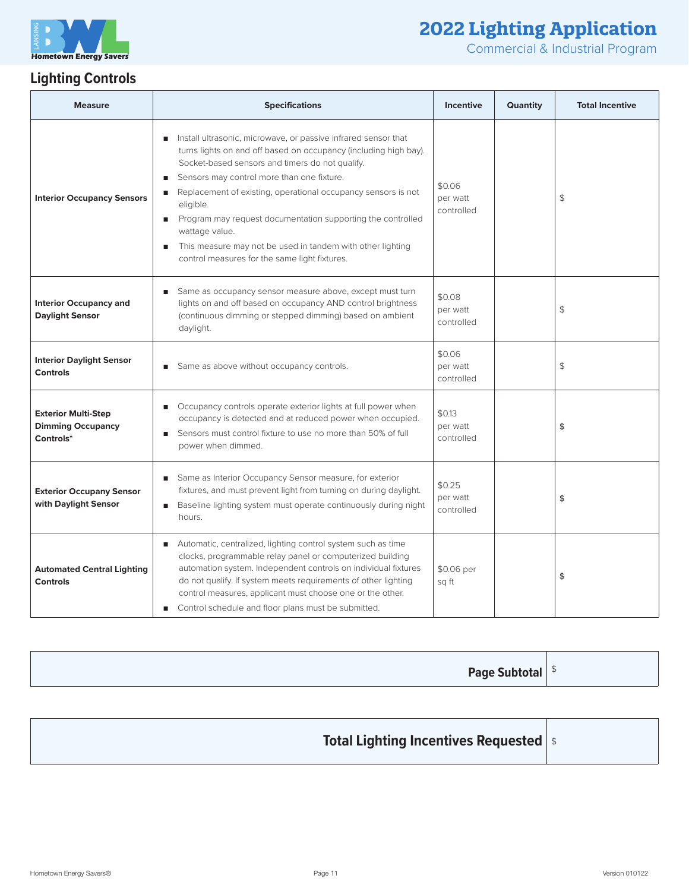

 $\mathcal{L}$ 

T

Commercial & Industrial Program

т

 $\overline{\phantom{0}}$ 

## **Lighting Controls**

| <b>Measure</b>                                                      | <b>Specifications</b>                                                                                                                                                                                                                                                                                                                                                                                                                                                                                                                              | <b>Incentive</b>                 | Quantity | <b>Total Incentive</b> |
|---------------------------------------------------------------------|----------------------------------------------------------------------------------------------------------------------------------------------------------------------------------------------------------------------------------------------------------------------------------------------------------------------------------------------------------------------------------------------------------------------------------------------------------------------------------------------------------------------------------------------------|----------------------------------|----------|------------------------|
| <b>Interior Occupancy Sensors</b>                                   | Install ultrasonic, microwave, or passive infrared sensor that<br>turns lights on and off based on occupancy (including high bay).<br>Socket-based sensors and timers do not qualify.<br>Sensors may control more than one fixture.<br>ш<br>Replacement of existing, operational occupancy sensors is not<br>ш<br>eligible.<br>Program may request documentation supporting the controlled<br>п<br>wattage value.<br>This measure may not be used in tandem with other lighting<br>$\blacksquare$<br>control measures for the same light fixtures. | \$0.06<br>per watt<br>controlled |          | \$                     |
| <b>Interior Occupancy and</b><br><b>Daylight Sensor</b>             | Same as occupancy sensor measure above, except must turn<br>ш<br>lights on and off based on occupancy AND control brightness<br>(continuous dimming or stepped dimming) based on ambient<br>daylight.                                                                                                                                                                                                                                                                                                                                              | \$0.08<br>per watt<br>controlled |          | \$                     |
| <b>Interior Daylight Sensor</b><br><b>Controls</b>                  | Same as above without occupancy controls.                                                                                                                                                                                                                                                                                                                                                                                                                                                                                                          | \$0.06<br>per watt<br>controlled |          | $\updownarrow$         |
| <b>Exterior Multi-Step</b><br><b>Dimming Occupancy</b><br>Controls* | Occupancy controls operate exterior lights at full power when<br>$\blacksquare$<br>occupancy is detected and at reduced power when occupied.<br>Sensors must control fixture to use no more than 50% of full<br>ш<br>power when dimmed.                                                                                                                                                                                                                                                                                                            | \$0.13<br>per watt<br>controlled |          | \$                     |
| <b>Exterior Occupany Sensor</b><br>with Daylight Sensor             | Same as Interior Occupancy Sensor measure, for exterior<br>ш<br>fixtures, and must prevent light from turning on during daylight.<br>Baseline lighting system must operate continuously during night<br>п<br>hours.                                                                                                                                                                                                                                                                                                                                | \$0.25<br>per watt<br>controlled |          | \$                     |
| <b>Automated Central Lighting</b><br><b>Controls</b>                | Automatic, centralized, lighting control system such as time<br>п<br>clocks, programmable relay panel or computerized building<br>automation system. Independent controls on individual fixtures<br>do not qualify. If system meets requirements of other lighting<br>control measures, applicant must choose one or the other.<br>Control schedule and floor plans must be submitted.<br>п                                                                                                                                                        | \$0.06 per<br>sq ft              |          | \$                     |

| <b>Page Subtotal</b> $ $ <sup>\$</sup> |
|----------------------------------------|
|----------------------------------------|

| <b>Total Lighting Incentives Requested</b> |  |
|--------------------------------------------|--|
|--------------------------------------------|--|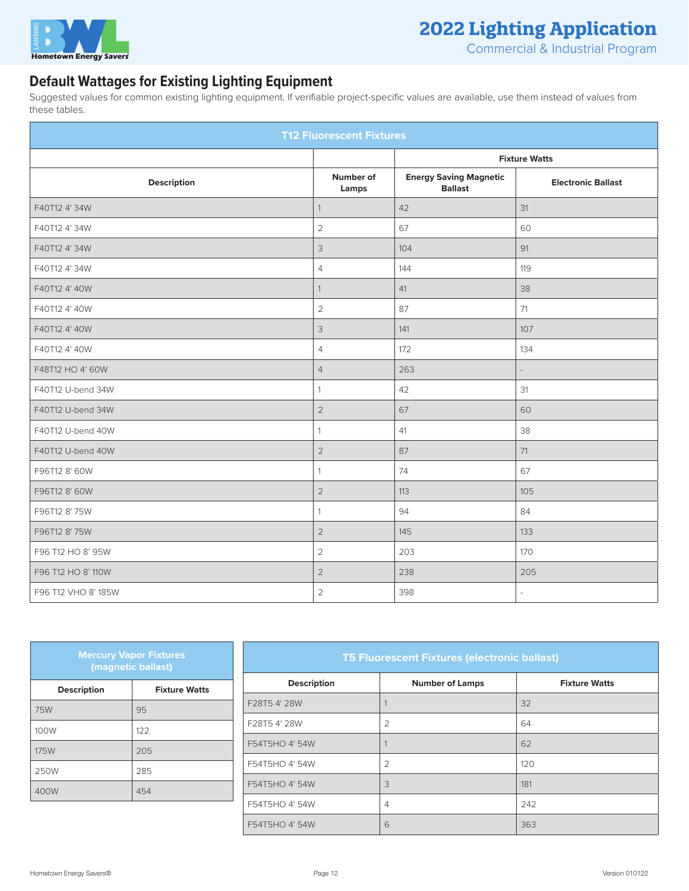

Commercial & Industrial Program

#### **Default Wattages for Existing Lighting Equipment**

Suggested values for common existing lighting equipment. If verifiable project-specific values are available, use them instead of values from these tables.

| <b>T12 Fluorescent Fixtures</b> |                      |                                                 |                           |
|---------------------------------|----------------------|-------------------------------------------------|---------------------------|
|                                 | <b>Fixture Watts</b> |                                                 |                           |
| Description                     | Number of<br>Lamps   | <b>Energy Saving Magnetic</b><br><b>Ballast</b> | <b>Electronic Ballast</b> |
| F40T12 4' 34W                   | $\mathbf{1}$         | 42                                              | 31                        |
| F40T12 4' 34W                   | 2                    | 67                                              | 60                        |
| F40T12 4' 34W                   | $\mathcal{S}$        | 104                                             | 91                        |
| F40T12 4' 34W                   | $\overline{4}$       | 144                                             | 119                       |
| F40T12 4' 40W                   | $\mathbf{1}$         | 41                                              | 38                        |
| F40T12 4' 40W                   | $\overline{2}$       | 87                                              | 71                        |
| F40T12 4' 40W                   | $\mathsf 3$          | 141                                             | 107                       |
| F40T12 4' 40W                   | $\overline{4}$       | 172                                             | 134                       |
| F48T12 HO 4' 60W                | $\overline{4}$       | 263                                             |                           |
| F40T12 U-bend 34W               | $\mathbf{1}$         | 42                                              | $31$                      |
| F40T12 U-bend 34W               | $\overline{2}$       | 67                                              | 60                        |
| F40T12 U-bend 40W               | $\mathbf{1}$         | 41                                              | 38                        |
| F40T12 U-bend 40W               | $\sqrt{2}$           | 87                                              | 71                        |
| F96T12 8' 60W                   | $\mathbf{1}$         | 74                                              | 67                        |
| F96T12 8' 60W                   | $\overline{2}$       | 113                                             | 105                       |
| F96T12 8' 75W                   | $\mathbf{1}$         | 94                                              | 84                        |
| F96T12 8' 75W                   | $\overline{2}$       | 145                                             | 133                       |
| F96 T12 HO 8' 95W               | $\overline{2}$       | 203                                             | 170                       |
| F96 T12 HO 8' 110W              | $\overline{2}$       | 238                                             | 205                       |
| F96 T12 VHO 8' 185W             | $\overline{2}$       | 398                                             | $\sim$                    |

| <b>Mercury Vapor Fixtures</b><br>(magnetic ballast) |                      |  |
|-----------------------------------------------------|----------------------|--|
| <b>Description</b>                                  | <b>Fixture Watts</b> |  |
| 75W                                                 | 95                   |  |
| 100W                                                | 122                  |  |
| <b>175W</b>                                         | 205                  |  |
| 250W                                                | 285                  |  |
| 400W                                                | 454                  |  |

#### **T5 Fluorescent Fixtures (electronic ballast)**

| <b>Description</b> | <b>Number of Lamps</b> | <b>Fixture Watts</b> |
|--------------------|------------------------|----------------------|
| F28T5 4' 28W       |                        | 32                   |
| F28T5 4' 28W       | $\overline{2}$         | 64                   |
| F54T5HO 4' 54W     |                        | 62                   |
| F54T5HO 4' 54W     | $\overline{2}$         | 120                  |
| F54T5HO 4' 54W     | 3                      | 181                  |
| F54T5HO 4' 54W     | $\overline{4}$         | 242                  |
| F54T5HO 4' 54W     | 6                      | 363                  |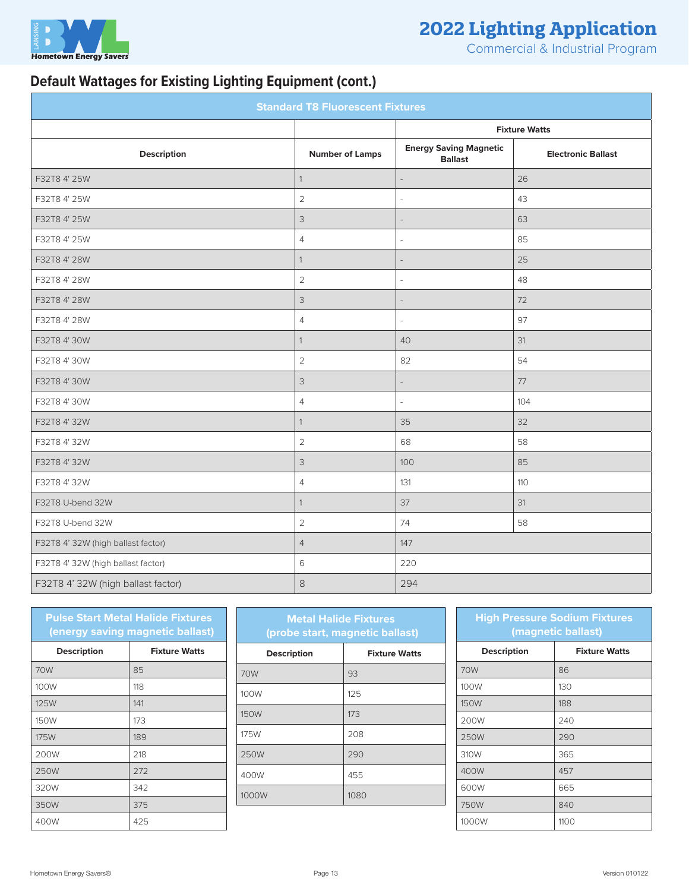

Commercial & Industrial Program

### **Default Wattages for Existing Lighting Equipment (cont.)**

| <b>Standard T8 Fluorescent Fixtures</b> |                           |                                                 |                           |  |
|-----------------------------------------|---------------------------|-------------------------------------------------|---------------------------|--|
|                                         |                           |                                                 | <b>Fixture Watts</b>      |  |
| <b>Description</b>                      | <b>Number of Lamps</b>    | <b>Energy Saving Magnetic</b><br><b>Ballast</b> | <b>Electronic Ballast</b> |  |
| F32T8 4' 25W                            | $\mathbf{1}$              |                                                 | 26                        |  |
| F32T8 4' 25W                            | $\overline{2}$            |                                                 | 43                        |  |
| F32T8 4' 25W                            | $\mathsf 3$               |                                                 | 63                        |  |
| F32T8 4' 25W                            | $\overline{4}$            |                                                 | 85                        |  |
| F32T8 4' 28W                            | 1                         |                                                 | 25                        |  |
| F32T8 4' 28W                            | $\overline{2}$            |                                                 | 48                        |  |
| F32T8 4' 28W                            | 3                         |                                                 | 72                        |  |
| F32T8 4' 28W                            | 4                         |                                                 | 97                        |  |
| F32T8 4' 30W                            | 1                         | 40                                              | 31                        |  |
| F32T8 4' 30W                            | $\overline{2}$            | 82                                              | 54                        |  |
| F32T8 4' 30W                            | $\mathsf 3$               |                                                 | 77                        |  |
| F32T8 4' 30W                            | $\overline{4}$            |                                                 | 104                       |  |
| F32T8 4' 32W                            | 1                         | 35                                              | 32                        |  |
| F32T8 4' 32W                            | $\overline{2}$            | 68                                              | 58                        |  |
| F32T8 4' 32W                            | $\ensuremath{\mathsf{3}}$ | 100                                             | 85                        |  |
| F32T8 4' 32W                            | $\overline{4}$            | 131                                             | 110                       |  |
| F32T8 U-bend 32W                        | 1                         | 37                                              | 31                        |  |
| F32T8 U-bend 32W                        | $\sqrt{2}$                | 74                                              | 58                        |  |
| F32T8 4' 32W (high ballast factor)      | $\overline{4}$            | 147                                             |                           |  |
| F32T8 4' 32W (high ballast factor)      | 6                         | 220                                             |                           |  |
| F32T8 4' 32W (high ballast factor)      | $\,8\,$                   | 294                                             |                           |  |

| <b>Pulse Start Metal Halide Fixtures</b><br>(energy saving magnetic ballast) |                      |  |  |  |
|------------------------------------------------------------------------------|----------------------|--|--|--|
| <b>Description</b>                                                           | <b>Fixture Watts</b> |  |  |  |
| 70W                                                                          | 85                   |  |  |  |
| 100W                                                                         | 118                  |  |  |  |
| <b>125W</b>                                                                  | 141                  |  |  |  |
| 150W                                                                         | 173                  |  |  |  |
| 175W                                                                         | 189                  |  |  |  |
| 200W                                                                         | 218                  |  |  |  |
| 250W                                                                         | 272                  |  |  |  |
| 320W                                                                         | 342                  |  |  |  |
| 350W                                                                         | 375                  |  |  |  |
| 400W                                                                         | 425                  |  |  |  |

| <b>Metal Halide Fixtures</b><br>(probe start, magnetic ballast) |  |  |  |
|-----------------------------------------------------------------|--|--|--|
| <b>Fixture Watts</b>                                            |  |  |  |
| 93                                                              |  |  |  |
| 125                                                             |  |  |  |
| 173                                                             |  |  |  |
| 208                                                             |  |  |  |
| 290                                                             |  |  |  |
| 455                                                             |  |  |  |
| 1080                                                            |  |  |  |
|                                                                 |  |  |  |

| <b>High Pressure Sodium Fixtures</b><br>(magnetic ballast) |                      |  |  |
|------------------------------------------------------------|----------------------|--|--|
| <b>Description</b>                                         | <b>Fixture Watts</b> |  |  |
| 70W                                                        | 86                   |  |  |
| 100W                                                       | 130                  |  |  |
| 150W                                                       | 188                  |  |  |
| 200W                                                       | 240                  |  |  |
| 250W                                                       | 290                  |  |  |
| 310W                                                       | 365                  |  |  |
| 400W                                                       | 457                  |  |  |
| 600W                                                       | 665                  |  |  |
| 750W                                                       | 840                  |  |  |
| 1000W                                                      | 1100                 |  |  |